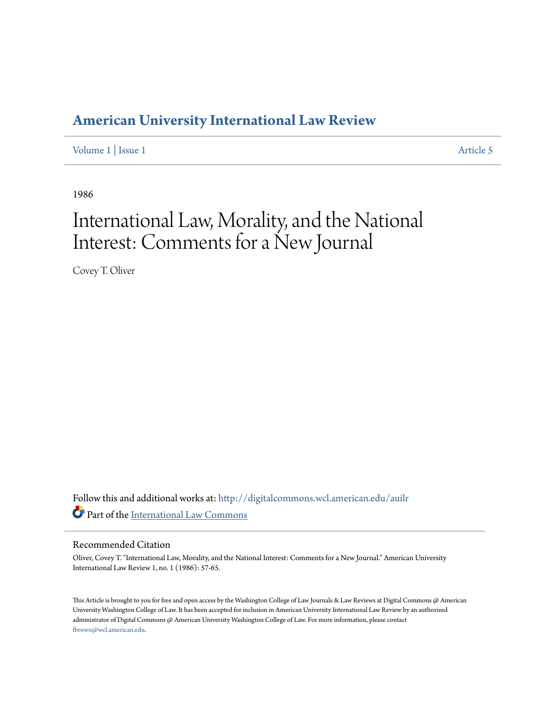## **[American University International Law Review](http://digitalcommons.wcl.american.edu/auilr?utm_source=digitalcommons.wcl.american.edu%2Fauilr%2Fvol1%2Fiss1%2F5&utm_medium=PDF&utm_campaign=PDFCoverPages)**

[Volume 1](http://digitalcommons.wcl.american.edu/auilr/vol1?utm_source=digitalcommons.wcl.american.edu%2Fauilr%2Fvol1%2Fiss1%2F5&utm_medium=PDF&utm_campaign=PDFCoverPages) | [Issue 1](http://digitalcommons.wcl.american.edu/auilr/vol1/iss1?utm_source=digitalcommons.wcl.american.edu%2Fauilr%2Fvol1%2Fiss1%2F5&utm_medium=PDF&utm_campaign=PDFCoverPages) [Article 5](http://digitalcommons.wcl.american.edu/auilr/vol1/iss1/5?utm_source=digitalcommons.wcl.american.edu%2Fauilr%2Fvol1%2Fiss1%2F5&utm_medium=PDF&utm_campaign=PDFCoverPages)

1986

# International Law, Morality, and the National Interest: Comments for a New Journal

Covey T. Oliver

Follow this and additional works at: [http://digitalcommons.wcl.american.edu/auilr](http://digitalcommons.wcl.american.edu/auilr?utm_source=digitalcommons.wcl.american.edu%2Fauilr%2Fvol1%2Fiss1%2F5&utm_medium=PDF&utm_campaign=PDFCoverPages) Part of the [International Law Commons](http://network.bepress.com/hgg/discipline/609?utm_source=digitalcommons.wcl.american.edu%2Fauilr%2Fvol1%2Fiss1%2F5&utm_medium=PDF&utm_campaign=PDFCoverPages)

#### Recommended Citation

Oliver, Covey T. "International Law, Morality, and the National Interest: Comments for a New Journal." American University International Law Review 1, no. 1 (1986): 57-65.

This Article is brought to you for free and open access by the Washington College of Law Journals & Law Reviews at Digital Commons @ American University Washington College of Law. It has been accepted for inclusion in American University International Law Review by an authorized administrator of Digital Commons @ American University Washington College of Law. For more information, please contact [fbrown@wcl.american.edu](mailto:fbrown@wcl.american.edu).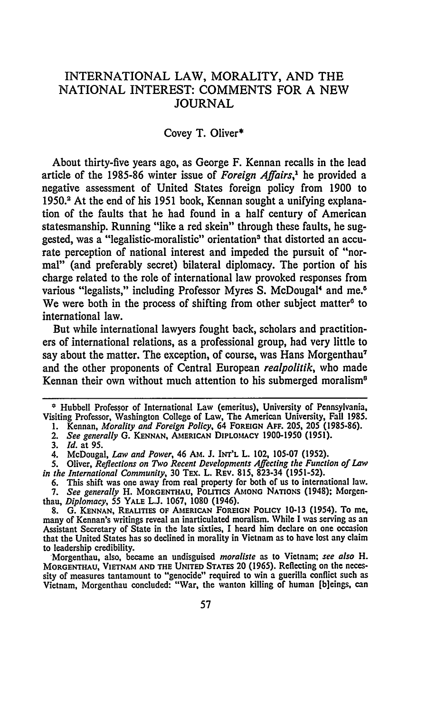### INTERNATIONAL LAW, MORALITY, AND THE NATIONAL INTEREST: COMMENTS FOR A NEW JOURNAL

#### Covey T. Oliver\*

About thirty-five years ago, as George F. Kennan recalls in the lead article of the 1985-86 winter issue of *Foreign Affairs,'* he provided a negative assessment of United States foreign policy from 1900 to 1950.2 At the end of his 1951 book, Kennan sought a unifying explanation of the faults that he had found in a half century of American statesmanship. Running "like a red skein" through these faults, he suggested, was a "legalistic-moralistic" orientation<sup>3</sup> that distorted an accurate perception of national interest and impeded the pursuit of "normal" (and preferably secret) bilateral diplomacy. The portion of his charge related to the role of international law provoked responses from various "legalists," including Professor Myres S. McDougal<sup>4</sup> and me.<sup>6</sup> We were both in the process of shifting from other subject matter<sup>6</sup> to international law.

But while international lawyers fought back, scholars and practitioners of international relations, as a professional group, had very little to say about the matter. The exception, of course, was Hans Morgenthau<sup>7</sup> and the other proponents of Central European *realpolitik,* who made Kennan their own without much attention to his submerged moralism<sup>8</sup>

4. McDougal, *Law and Power,* 46 **AM. J. INT'L** L. 102, **105-07 (1952).**

**<sup>\*</sup>** Hubbell Professor of International Law (emeritus), University of Pennsylvania, Visiting Professor, Washington College of Law, The American University, Fall **1985.**

**<sup>1.</sup>** Kennan, *Morality and Foreign Policy,* 64 FOREIGN **AFF.** 205, 205 **(1985-86).**

*<sup>2.</sup> See generally* **G. KENNAN, AMERICAN DIPLOMACY 1900-1950 (1951).**

**<sup>3.</sup>** *Id.* at **95.**

*<sup>5.</sup>* Oliver, *Reflections on Two Recent Developments Affecting the Function of Law in the International Community,* **30** TEx. L. **REV. 815, 823-34 (1951-52).**

**<sup>6.</sup>** This shift was one away from real property for both of us to international law. 7. *See generally* H. MORGENTHAU, POLITICS AMONG NATIONS (1948); Morgenthau, *Diplomacy, 55* YALE **L.J. 1067, 1080** (1946).

**<sup>8.</sup> G. KENNAN,** REALITIES **OF AMERICAN FOREIGN** POLICY **10-13** (1954). To **me,** many of Kennan's writings reveal an inarticulated moralism. While **I** was serving as an Assistant Secretary of State in the late sixties, I heard him declare on one occasion that the United States has so declined in morality in Vietnam as to have lost any claim to leadership credibility.

Morgenthau, also, became an undisguised *moraliste* as to Vietnam; *see also H.* MORGENTHAU, VIETNAM **AND THE** UNITED STATES 20 **(1965).** Reflecting on the necessity of measures tantamount to "genocide" required to win a guerilla conflict such as Vietnam, Morgenthau concluded: "War, the wanton killing of human [b]eings, can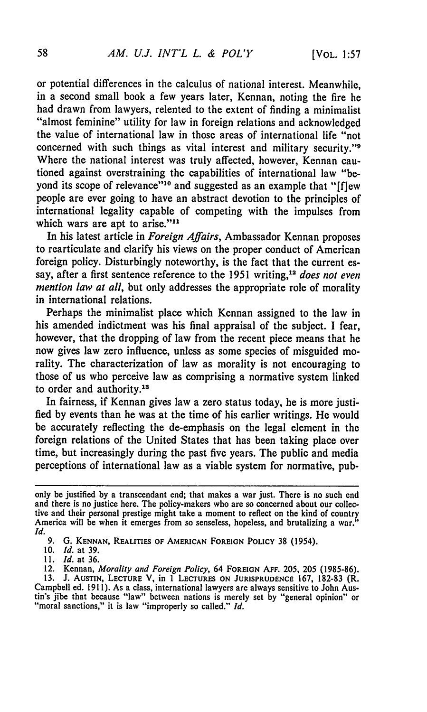or potential differences in the calculus of national interest. Meanwhile, in a second small book a few years later, Kennan, noting the fire he had drawn from lawyers, relented to the extent of finding a minimalist "almost feminine" utility for law in foreign relations and acknowledged the value of international law in those areas of international life "not concerned with such things as vital interest and military security."<sup>9</sup> Where the national interest was truly affected, however, Kennan cautioned against overstraining the capabilities of international law "beyond its scope of relevance"<sup>10</sup> and suggested as an example that "[flew people are ever going to have an abstract devotion to the principles of international legality capable of competing with the impulses from which wars are apt to arise."<sup>11</sup>

In his latest article in *Foreign Affairs,* Ambassador Kennan proposes to rearticulate and clarify his views on the proper conduct of American foreign policy. Disturbingly noteworthy, is the fact that the current essay, after a first sentence reference to the 1951 writing,<sup>12</sup> does not even *mention law at all,* but only addresses the appropriate role of morality in international relations.

Perhaps the minimalist place which Kennan assigned to the law in his amended indictment was his final appraisal of the subject. I fear, however, that the dropping of law from the recent piece means that he now gives law zero influence, unless as some species of misguided morality. The characterization of law as morality is not encouraging to those of us who perceive law as comprising a normative system linked to order and authority.<sup>13</sup>

In fairness, if Kennan gives law a zero status today, he is more justified by events than he was at the time of his earlier writings. He would be accurately reflecting the de-emphasis on the legal element in the foreign relations of the United States that has been taking place over time, but increasingly during the past five years. The public and media perceptions of international law as a viable system for normative, pub-

only be justified **by** a transcendant end; that makes a war just. There is no such end and there is no justice here. The policy-makers who are so concerned about our collective and their personal prestige might take a moment to reflect on the kind of country America will be when it emerges from so senseless, hopeless, and brutalizing a war. *Id.*

**<sup>9.</sup> G. KENNAN, REALITIES OF** AMERICAN **FOREIGN POLICY 38** (1954).

**<sup>10.</sup>** *Id.* at **39.**

**<sup>11.</sup>** *Id.* at **36.**

<sup>12.</sup> Kennan, *Morality and Foreign Policy,* 64 **FOREIGN AFF.** 205, 205 (1985-86).

**<sup>13.</sup> J. AUSTIN, LECTURE** V, in 1 **LECTURES ON JURISPRUDENCE** 167, 182-83 (R. Campbell ed. 1911). As a class, international lawyers are always sensitive to John Austin's jibe that because "law" between nations is merely set by "general opinion" or "moral sanctions," it is law "improperly so called." *Id.*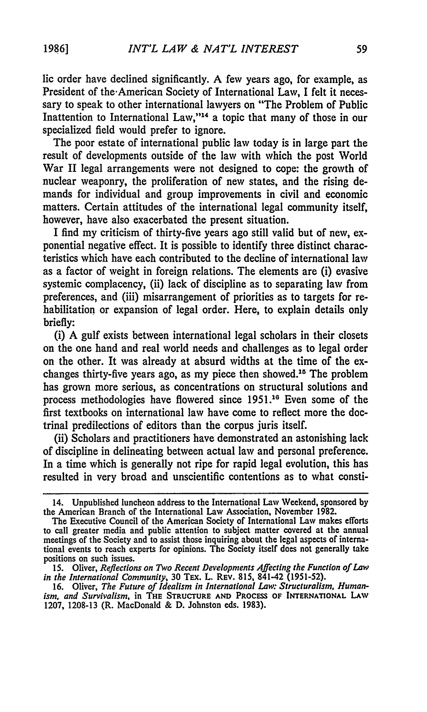lie order have declined significantly. A few years ago, for example, as President of the-American Society of International Law, I felt it necessary to speak to other international lawyers on "The Problem of Public Inattention to International Law,"<sup>14</sup> a topic that many of those in our specialized field would prefer to ignore.

The poor estate of international public law today is in large part the result of developments outside of the law with which the post World War II legal arrangements were not designed to cope: the growth of nuclear weaponry, the proliferation of new states, and the rising demands for individual and group improvements in civil and economic matters. Certain attitudes of the international legal community itself, however, have also exacerbated the present situation.

I find my criticism of thirty-five years ago still valid but of new, exponential negative effect. It is possible to identify three distinct characteristics which have each contributed to the decline of international law as a factor of weight in foreign relations. The elements are (i) evasive systemic complacency, (ii) lack of discipline as to separating law from preferences, and (iii) misarrangement of priorities as to targets for rehabilitation or expansion of legal order. Here, to explain details only briefly:

(i) A gulf exists between international legal scholars in their closets on the one hand and real world needs and challenges as to legal order on the other. It was already at absurd widths at the time of the exchanges thirty-five years ago, as my piece then showed.<sup>15</sup> The problem has grown more serious, as concentrations on structural solutions and process methodologies have flowered since 1951.<sup>16</sup> Even some of the first textbooks on international law have come to reflect more the doctrinal predilections of editors than the corpus juris itself.

(ii) Scholars and practitioners have demonstrated an astonishing lack of discipline in delineating between actual law and personal preference. In a time which is generally not ripe for rapid legal evolution, this has resulted in very broad and unscientific contentions as to what consti-

<sup>14.</sup> Unpublished luncheon address to the International Law Weekend, sponsored **by** the American Branch of the International Law Association, November **1982.**

The Executive Council of the American Society of International Law makes efforts to call greater media and public attention to subject matter covered at the annual meetings of the Society and to assist those inquiring about the legal aspects of international events to reach experts for opinions. The Society itself does not generally take positions on such issues.

<sup>15.</sup> Oliver, *Reflections on Two Recent Developments Affecting the Function of Law in the International Community,* 30 TEx. L. REV. 815, 841-42 (1951-52).

<sup>16.</sup> Oliver, *The Future of Idealism in International Law: Structuralism, Humanism, and Survivalism,* **in THE STRUCTURE AND PROCESS OF INTERNATIONAL LAw 1207, 1208-13** (R. MacDonald & D. Johnston eds. 1983).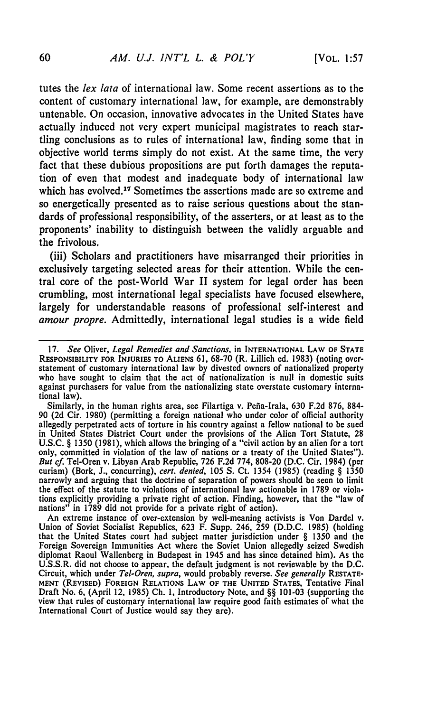tutes the *lex lata* of international law. Some recent assertions as to the content of customary international law, for example, are demonstrably untenable. On occasion, innovative advocates in the United States have actually induced not very expert municipal magistrates to reach startling conclusions as to rules of international law, finding some that in objective world terms simply do not exist. At the same time, the very fact that these dubious propositions are put forth damages the reputation of even that modest and inadequate body of international law which has evolved.<sup>17</sup> Sometimes the assertions made are so extreme and so energetically presented as to raise serious questions about the standards of professional responsibility, of the asserters, or at least as to the proponents' inability to distinguish between the validly arguable and the frivolous.

(iii) Scholars and practitioners have misarranged their priorities in exclusively targeting selected areas for their attention. While the central core of the post-World War **II** system for legal order has been crumbling, most international legal specialists have focused elsewhere, largely for understandable reasons of professional self-interest and *amour propre.* Admittedly, international legal studies is a wide **field**

Similarly, in the human rights area, see Filartiga v. Pefia-Irala, 630 F.2d 876, 884- 90 (2d Cir. 1980) (permitting a foreign national who under color of official authority allegedly perpetrated acts of torture in his country against a fellow national to be sued in United States District Court under the provisions of the Alien Tort Statute, 28 U.S.C. § 1350 (1981), which allows the bringing of a "civil action **by** an alien for a tort only, committed in violation of the law of nations or a treaty of the United States"). *But cf.* Tel-Oren v. Libyan Arab Republic, 726 F.2d 774, 808-20 (D.C. Cir. 1984) (per curiam) (Bork, J., concurring), *cert. denied,* 105 S. Ct. 1354 (1985) (reading § 1350 narrowly and arguing that the doctrine of separation of powers should be seen to limit the effect of the statute to violations of international law actionable in 1789 or violations explicitly providing a private right of action. Finding, however, that the "law of nations" in 1789 did not provide for a private right of action).

An extreme instance of over-extension by well-meaning activists is Von Dardel v. Union of Soviet Socialist Republics, 623 F. Supp. 246, 259 **(D.D.C.** 1985) (holding that the United States court had subject matter jurisdiction under § 1350 and the Foreign Sovereign Immunities Act where the Soviet Union allegedly seized Swedish diplomat Raoul Wallenberg in Budapest in 1945 and has since detained him). As the U.S.S.R. did not choose to appear, the default judgment is not reviewable by the D.C. Circuit, which under *Tel-Oren, supra,* would probably reverse. *See generally* RESTATE-**MENT** (REVISED) **FOREIGN** RELATIONS LAW OF **THE UNITED** STATES, Tentative Final Draft No. 6, (April 12, **1985) Ch. 1,** Introductory Note, and §§ 101-03 (supporting the view that rules of customary international law require good faith estimates of what the International Court of Justice would say they are).

**<sup>17.</sup>** *See* Oliver, *Legal Remedies and Sanctions,* in **INTERNATIONAL LAW OF STATE RESPONSIBILITY FOR INJURIES TO ALIENS 61,** 68-70 (R. Lillich **ed.** 1983) (noting overstatement of customary international law by divested owners of nationalized property who have sought to claim that the act of nationalization is null in domestic suits against purchasers for value from the nationalizing state overstate customary international law).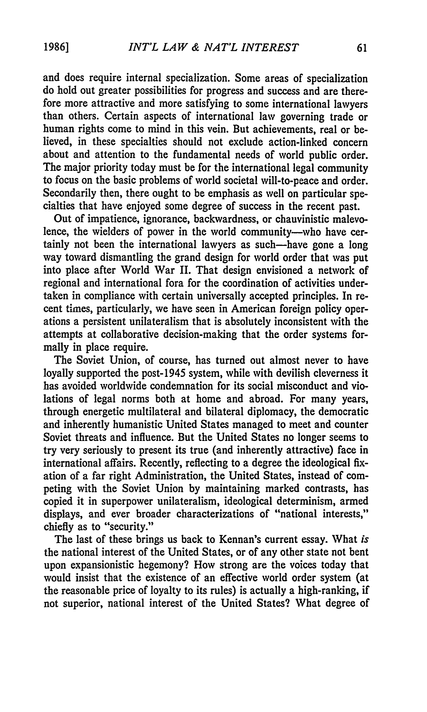and does require internal specialization. Some areas of specialization do hold out greater possibilities for progress and success and are therefore more attractive and more satisfying to some international lawyers than others. Certain aspects of international law governing trade or human rights come to mind in this vein. But achievements, real or believed, in these specialties should not exclude action-linked concern about and attention to the fundamental needs of world public order. The major priority today must be for the international legal community to focus on the basic problems of world societal will-to-peace and order. Secondarily then, there ought to be emphasis as well on particular specialties that have enjoyed some degree of success in the recent past.

Out of impatience, ignorance, backwardness, or chauvinistic malevolence, the wielders of power in the world community--who have certainly not been the international lawyers as such-have gone a long way toward dismantling the grand design for world order that was put into place after World War II. That design envisioned a network of regional and international fora for the coordination of activities undertaken in compliance with certain universally accepted principles. In recent times, particularly, we have seen in American foreign policy operations a persistent unilateralism that is absolutely inconsistent with the attempts at collaborative decision-making that the order systems formally in place require.

The Soviet Union, of course, has turned out almost never to have loyally supported the post-1945 system, while with devilish cleverness it has avoided worldwide condemnation for its social misconduct and violations of legal norms both at home and abroad. For many years, through energetic multilateral and bilateral diplomacy, the democratic and inherently humanistic United States managed to meet and counter Soviet threats and influence. But the United States no longer seems to try very seriously to present its true (and inherently attractive) face in international affairs. Recently, reflecting to a degree the ideological **fix**ation of a far right Administration, the United States, instead of competing with the Soviet Union by maintaining marked contrasts, has copied it in superpower unilateralism, ideological determinism, armed displays, and ever broader characterizations of "national interests," chiefly as to "security."

The last of these brings us back to Kennan's current essay. What *is* the national interest of the United States, or of any other state not bent upon expansionistic hegemony? How strong are the voices today that would insist that the existence of an effective world order system (at the reasonable price of loyalty to its rules) is actually a high-ranking, if not superior, national interest of the United States? What degree of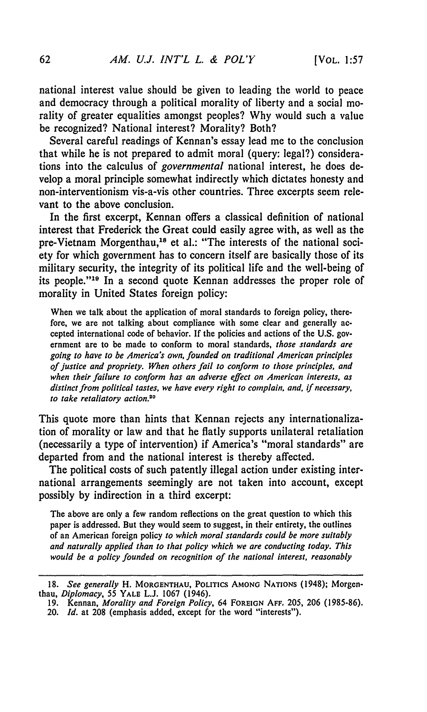national interest value should be given to leading the world to peace and democracy through a political morality of liberty and a social morality of greater equalities amongst peoples? **Why** would such a value be recognized? National interest? Morality? Both?

Several careful readings of Kennan's essay lead me to the conclusion that while he is not prepared to admit moral (query: legal?) considerations into the calculus of *governmental* national interest, he does develop a moral principle somewhat indirectly which dictates honesty and non-interventionism vis-a-vis other countries. Three excerpts seem relevant to the above conclusion.

In the first excerpt, Kennan offers a classical definition of national interest that Frederick the Great could easily agree with, as well as the pre-Vietnam Morgenthau,<sup>18</sup> et al.: "The interests of the national society for which government has to concern itself are basically those of its military security, the integrity of its political life and the well-being of its people."<sup>19</sup> In a second quote Kennan addresses the proper role of morality in United States foreign policy:

When we talk about the application of moral standards to foreign policy, therefore, we are not talking about compliance with some clear and generally accepted international code of behavior. If the policies and actions of the U.S. government are to be made to conform to moral standards, *those standards are going to have to be America's own, founded on traditional American principles of justice and propriety. When others fail to conform to those principles, and when their failure to conform has an adverse effect on American interests, as distinct from political tastes, we have every right to complain, and, if necessary, to take retaliatory action.20*

This quote more than hints that Kennan rejects any internationalization of morality or law and that he flatly supports unilateral retaliation (necessarily a type of intervention) if America's "moral standards" are departed from and the national interest is thereby affected.

The political costs of such patently illegal action under existing international arrangements seemingly are not taken into account, except possibly **by** indirection in a third excerpt:

The above are only a few random reflections on the great question to which this paper is addressed. But they would seem to suggest, in their entirety, the outlines of an American foreign policy *to which moral standards could be more suitably and naturally applied than to that policy which we are conducting today. This would be a policy founded on recognition of the national interest, reasonably*

<sup>18.</sup> *See generally* H. MORGENTHAU, POLITICS AMONG NATIONS (1948); Morgenthau, *Diplomacy,* 55 YALE L.J. 1067 (1946).

<sup>19.</sup> Kennan, *Morality and Foreign Policy,* 64 **FOREIGN AFF.** 205, 206 (1985-86). 20. *Id.* at 208 (emphasis added, **except for** the word "interests").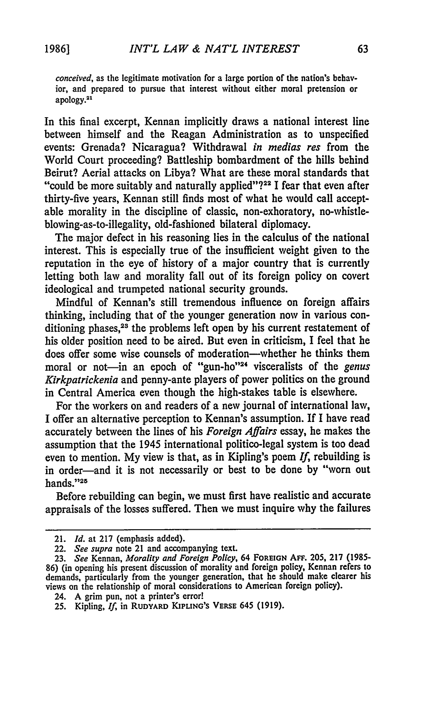*conceived,* as the legitimate motivation for a large portion of the nation's behavior, and prepared to pursue that interest without either moral pretension or apology.<sup>21</sup>

In this final excerpt, Kennan implicitly draws a national interest line between himself and the Reagan Administration as to unspecified events: Grenada? Nicaragua? Withdrawal *in medias res* from the World Court proceeding? Battleship bombardment of the hills behind Beirut? Aerial attacks on Libya? What are these moral standards that "could be more suitably and naturally applied"?<sup>22</sup> I fear that even after thirty-five years, Kennan still finds most of what he would call acceptable morality in the discipline of classic, non-exhoratory, no-whistleblowing-as-to-illegality, old-fashioned bilateral diplomacy.

The major defect in his reasoning lies in the calculus of the national interest. This is especially true of the insufficient weight given to the reputation in the eye of history of a major country that is currently letting both law and morality fall out of its foreign policy on covert ideological and trumpeted national security grounds.

Mindful of Kennan's still tremendous influence on foreign affairs thinking, including that of the younger generation now in various conditioning phases,<sup>23</sup> the problems left open by his current restatement of his older position need to be aired. But even in criticism, I feel that he does offer some wise counsels of moderation-whether he thinks them moral or not-in an epoch of "gun-ho"<sup>24</sup> visceralists of the *genus Kirkpatrickenia* and penny-ante players of power politics on the ground in Central America even though the high-stakes table is elsewhere.

For the workers on and readers of a new journal of international law, I offer an alternative perception to Kennan's assumption. If I have read accurately between the lines of his *Foreign Affairs* essay, he makes the assumption that the 1945 international politico-legal system is too dead even to mention. My view is that, as in Kipling's poem *If,* rebuilding is in order-and it is not necessarily or best to be done by "worn out hands."25

Before rebuilding can begin, we must first have realistic and accurate appraisals of the losses suffered. Then we must inquire why the failures

<sup>21.</sup> *Id.* at 217 (emphasis added).

<sup>22.</sup> *See supra* note 21 and accompanying text.

<sup>23.</sup> *See Kennan, Morality and Foreign Policy, 64 FOREIGN AFF. 205, 217 (1985-***86)** (in opening his present discussion of morality and foreign policy, Kennan refers to demands, particularly from the younger generation, that he should make clearer his views on the relationship of moral considerations to American foreign policy).

<sup>24.</sup> **A** grim pun, not a printer's error!

**<sup>25.</sup>** Kipling, *If,* in **RUDYARD KIPUNG'S** VERsE 645 **(1919).**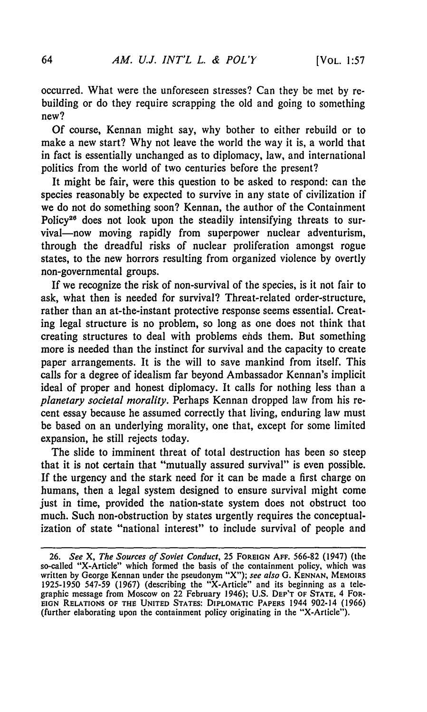occurred. What were the unforeseen stresses? Can they be met by rebuilding or do they require scrapping the old and going to something new?

Of course, Kennan might say, why bother to either rebuild or to make a new start? Why not leave the world the way it is, a world that in fact is essentially unchanged as to diplomacy, law, and international politics from the world of two centuries before the present?

It might be fair, were this question to be asked to respond: can the species reasonably be expected to survive in any state of civilization if we do not do something soon? Kennan, the author of the Containment Policy<sup>26</sup> does not look upon the steadily intensifying threats to survival-now moving rapidly from superpower nuclear adventurism. through the dreadful risks of nuclear proliferation amongst rogue states, to the new horrors resulting from organized violence by overtly non-governmental groups.

If we recognize the risk of non-survival of the species, is it not fair to ask, what then is needed for survival? Threat-related order-structure, rather than an at-the-instant protective response seems essential. Creating legal structure is no problem, so long as one does not think that creating structures to deal with problems ends them. But something more is needed than the instinct for survival and the capacity to create paper arrangements. It is the will to save mankind from itself. This calls for a degree of idealism far beyond Ambassador Kennan's implicit ideal of proper and honest diplomacy. It calls for nothing less than a *planetary societal morality.* Perhaps Kennan dropped law from his recent essay because he assumed correctly that living, enduring law must be based on an underlying morality, one that, except for some limited expansion, he still rejects today.

The slide to imminent threat of total destruction has been so steep that it is not certain that "mutually assured survival" is even possible. If the urgency and the stark need for it can be made a first charge on humans, then a legal system designed to ensure survival might come just in time, provided the nation-state system does not obstruct too much. Such non-obstruction by states urgently requires the conceptualization of state "national interest" to include survival of people and

<sup>26.</sup> *See X, The Sources of Soviet Conduct,* 25 **FOREIGN AFF.** 566-82 (1947) (the so-called "X-Article" which formed the basis of the containment policy, which was written **by** George Kennan under the pseudonym "X"); *see also* **G. KENNAN, MEMOIRS** 1925-1950 547-59 (1967) (describing the "X-Article" and its beginning as a telegraphic message from Moscow on 22 February 1946); **U.S. DEP'T** OF **STATE,** 4 FOR-**EIGN RELATIONS OF THE UNITED** STATES: DIPLOMATIC PAPERS 1944 902-14 (1966) (further elaborating upon the containment policy originating in the "X-Article").